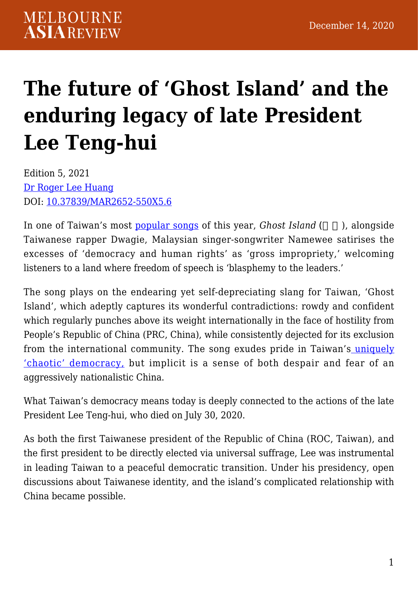# **[The future of 'Ghost Island' and the](https://melbourneasiareview.edu.au/the-future-of-ghost-island-and-the-enduring-legacy-of-late-president-lee-teng-hui/) [enduring legacy of late President](https://melbourneasiareview.edu.au/the-future-of-ghost-island-and-the-enduring-legacy-of-late-president-lee-teng-hui/) [Lee Teng-hui](https://melbourneasiareview.edu.au/the-future-of-ghost-island-and-the-enduring-legacy-of-late-president-lee-teng-hui/)**

Edition 5, 2021 [Dr Roger Lee Huang](https://researchers.mq.edu.au/en/persons/roger-lee-huang) DOI: 10.37839/MAR2652-550X5.6

In one of Taiwan's most **[popular songs](https://www.youtube.com/watch?v=VmdHdDPt1NM)** of this year, *Ghost Island* (), alongside Taiwanese rapper Dwagie, Malaysian singer-songwriter Namewee satirises the excesses of 'democracy and human rights' as 'gross impropriety,' welcoming listeners to a land where freedom of speech is 'blasphemy to the leaders.'

The song plays on the endearing yet self-depreciating slang for Taiwan, 'Ghost Island', which adeptly captures its wonderful contradictions: rowdy and confident which regularly punches above its weight internationally in the face of hostility from People's Republic of China (PRC, China), while consistently dejected for its exclusion from the international community. The song exudes pride in Taiwan's [uniquely](https://journals.sagepub.com/doi/full/10.1177/0957926519889124) ['chaotic' democracy,](https://journals.sagepub.com/doi/full/10.1177/0957926519889124) but implicit is a sense of both despair and fear of an aggressively nationalistic China.

What Taiwan's democracy means today is deeply connected to the actions of the late President Lee Teng-hui, who died on July 30, 2020.

As both the first Taiwanese president of the Republic of China (ROC, Taiwan), and the first president to be directly elected via universal suffrage, Lee was instrumental in leading Taiwan to a peaceful democratic transition. Under his presidency, open discussions about Taiwanese identity, and the island's complicated relationship with China became possible.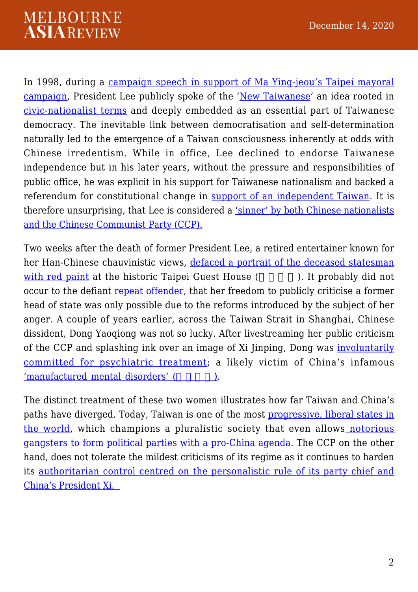In 1998, during a [campaign speech in support of Ma Ying-jeou's Taipei mayoral](https://news.tvbs.com.tw/politics/1362678) [campaign,](https://news.tvbs.com.tw/politics/1362678) President Lee publicly spoke of the ['New Taiwanese](https://presidentlee.tw/%E6%96%B0%E6%99%82%E4%BB%A3%E5%8F%B0%E7%81%A3%E4%BA%BA%E7%9A%84%E6%B6%B5%E7%BE%A9/)' an idea rooted in [civic-nationalist terms](https://www.jstor.org/stable/42704329) and deeply embedded as an essential part of Taiwanese democracy. The inevitable link between democratisation and self-determination naturally led to the emergence of a Taiwan consciousness inherently at odds with Chinese irredentism. While in office, Lee declined to endorse Taiwanese independence but in his later years, without the pressure and responsibilities of public office, he was explicit in his support for Taiwanese nationalism and backed a referendum for constitutional change in [support of an independent Taiwan](https://www.youtube.com/watch?v=3du_jFIt5fk). It is therefore unsurprising, that Lee is considered a ['sinner' by both Chinese nationalists](https://www.globaltimes.cn/content/1196269.shtml) [and the Chinese Communist Party \(CCP\).](https://www.globaltimes.cn/content/1196269.shtml)

Two weeks after the death of former President Lee, a retired entertainer known for her Han-Chinese chauvinistic views, [defaced a portrait of the deceased statesman](https://www.taipeitimes.com/News/taiwan/archives/2020/11/07/2003746527) [with red paint](https://www.taipeitimes.com/News/taiwan/archives/2020/11/07/2003746527) at the historic Taipei Guest House (Superinted by the probably did not occur to the defiant [repeat offender, t](https://international.thenewslens.com/article/112519)hat her freedom to publicly criticise a former head of state was only possible due to the reforms introduced by the subject of her anger. A couple of years earlier, across the Taiwan Strait in Shanghai, Chinese dissident, Dong Yaoqiong was not so lucky. After livestreaming her public criticism of the CCP and splashing ink over an image of Xi Jinping, Dong was [involuntarily](https://www.upi.com/Top_News/World-News/2020/12/02/Chinese-dissident-who-defaced-Xi-poster-says-shes-on-verge-of-collapse/7691606922351/) [committed for psychiatric treatment](https://www.upi.com/Top_News/World-News/2020/12/02/Chinese-dissident-who-defaced-Xi-poster-says-shes-on-verge-of-collapse/7691606922351/); a likely victim of China's infamous ['manufactured mental disorders' \(](https://www.cambridge.org/core/journals/medical-history/article/moral-career-of-outmates-towards-a-history-of-manufactured-mental-disorders-in-postsocialist-china/77CE5C683ECA29F486E932E83F997FD8)(asset ).

The distinct treatment of these two women illustrates how far Taiwan and China's paths have diverged. Today, Taiwan is one of the most [progressive, liberal states in](https://freedomhouse.org/country/taiwan/freedom-world/2020) [the world,](https://freedomhouse.org/country/taiwan/freedom-world/2020) which champions a pluralistic society that even allows [notorious](https://foreignpolicy.com/2018/06/18/nice-democracy-youve-got-there-be-a-shame-if-something-happened-to-it/) [gangsters to form political parties with a pro-China agenda.](https://foreignpolicy.com/2018/06/18/nice-democracy-youve-got-there-be-a-shame-if-something-happened-to-it/) The CCP on the other hand, does not tolerate the mildest criticisms of its regime as it continues to harden its [authoritarian control centred on the personalistic rule of its party chief and](https://www.journalofdemocracy.org/articles/china-in-xis-new-era-the-return-to-personalistic-rule/) [China's President Xi.](https://www.journalofdemocracy.org/articles/china-in-xis-new-era-the-return-to-personalistic-rule/)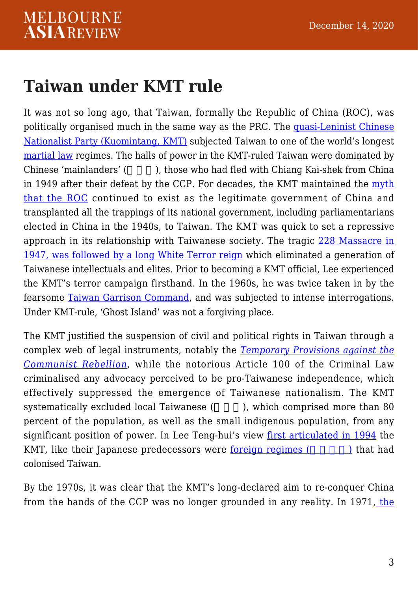#### **Taiwan under KMT rule**

It was not so long ago, that Taiwan, formally the Republic of China (ROC), was politically organised much in the same way as the PRC. The [quasi-Leninist Chinese](https://www.jstor.org/stable/654239?seq=1) [Nationalist Party \(Kuomintang, KMT\)](https://www.jstor.org/stable/654239?seq=1) subjected Taiwan to one of the world's longest [martial law](https://www.lowyinstitute.org/the-interpreter/end-martial-law-important-anniversary-taiwan) regimes. The halls of power in the KMT-ruled Taiwan were dominated by Chinese 'mainlanders' (  $\blacksquare$  ), those who had fled with Chiang Kai-shek from China in 1949 after their defeat by the CCP. For decades, the KMT maintained the [myth](https://taipeitimes.com/News/editorials/archives/2020/11/06/2003746449) [that the ROC](https://taipeitimes.com/News/editorials/archives/2020/11/06/2003746449) continued to exist as the legitimate government of China and transplanted all the trappings of its national government, including parliamentarians elected in China in the 1940s, to Taiwan. The KMT was quick to set a repressive approach in its relationship with Taiwanese society. The tragic [228 Massacre in](https://thediplomat.com/2019/02/the-228-incident-still-haunts-taiwan/) [1947, was followed by a long White Terror reign](https://thediplomat.com/2019/02/the-228-incident-still-haunts-taiwan/) which eliminated a generation of Taiwanese intellectuals and elites. Prior to becoming a KMT official, Lee experienced the KMT's terror campaign firsthand. In the 1960s, he was twice taken in by the fearsome [Taiwan Garrison Command,](https://www.thinkingtaiwan.com/content/7394) and was subjected to intense interrogations. Under KMT-rule, 'Ghost Island' was not a forgiving place.

The KMT justified the suspension of civil and political rights in Taiwan through a complex web of legal instruments, notably the *[Temporary Provisions against the](https://law.moj.gov.tw/LawClass/LawAll.aspx?pcode=A0000005) [Communist Rebellion](https://law.moj.gov.tw/LawClass/LawAll.aspx?pcode=A0000005)*, while the notorious Article 100 of the Criminal Law criminalised any advocacy perceived to be pro-Taiwanese independence, which effectively suppressed the emergence of Taiwanese nationalism. The KMT systematically excluded local Taiwanese (Sangle 1, which comprised more than 80 percent of the population, as well as the small indigenous population, from any significant position of power. In Lee Teng-hui's view [first articulated in 1994](https://books.google.com.au/books?id=6ZznAQAAQBAJ&pg=PA86&lpg=PA86&dq=%E7%94%9F%E7%82%BA%E5%8F%B0%E7%81%A3%E4%BA%BA%E7%9A%84%E6%82%B2%E5%93%80&source=bl&ots=BgNr7OXgCW&sig=ACfU3U2TQqoSWh7T038EfqIxQ-6uoDVheQ&hl=en&sa=X&ved=2ahUKEwjDoJmUicDtAhXV4zgGHYflBRE4WhDoATACegQIAxAC#v=onepage&q=%E7%94%9F%E7%82%BA%E5%8F%B0%E7%81%A3%E4%BA%BA%E7%9A%84%E6%82%B2%E5%93%80&f=false) the KMT, like their Japanese predecessors were [foreign regimes \(](https://www.storm.mg/article/65281)  $\longrightarrow$  ) that had colonised Taiwan.

By the 1970s, it was clear that the KMT's long-declared aim to re-conquer China from the hands of the CCP was no longer grounded in any reality. In 1971, [the](https://digitallibrary.un.org/record/192054)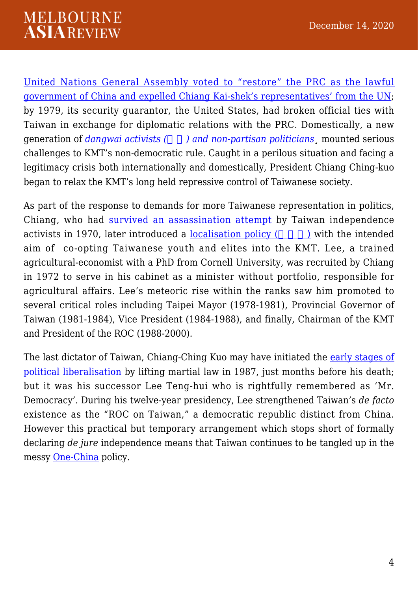#### **MELBOURNE ASIAREVIEW**

[United Nations General Assembly voted to "restore" the PRC as the lawful](https://digitallibrary.un.org/record/192054) [government of China and expelled Chiang Kai-shek's representatives' from the UN](https://digitallibrary.un.org/record/192054); by 1979, its security guarantor, the United States, had broken official ties with Taiwan in exchange for diplomatic relations with the PRC. Domestically, a new generation of *[dangwai activists \(](https://www.taipeitimes.com/News/feat/archives/2018/01/23/2003686261)) and non-partisan politicians* mounted serious challenges to KMT's non-democratic rule. Caught in a perilous situation and facing a legitimacy crisis both internationally and domestically, President Chiang Ching-kuo began to relax the KMT's long held repressive control of Taiwanese society.

As part of the response to demands for more Taiwanese representation in politics, Chiang, who had [survived an assassination attempt](https://apnews.com/article/24a615e59e4789cd4838cd2cd451750b) by Taiwan independence activists in 1970, later introduced a <u>localisation policy</u>  $($   $)$  with the intended aim of co-opting Taiwanese youth and elites into the KMT. Lee, a trained agricultural-economist with a PhD from Cornell University, was recruited by Chiang in 1972 to serve in his cabinet as a minister without portfolio, responsible for agricultural affairs. Lee's meteoric rise within the ranks saw him promoted to several critical roles including Taipei Mayor (1978-1981), Provincial Governor of Taiwan (1981-1984), Vice President (1984-1988), and finally, Chairman of the KMT and President of the ROC (1988-2000).

The last dictator of Taiwan, Chiang-Ching Kuo may have initiated the [early stages of](https://www.tandfonline.com/doi/full/10.1080/10357823.2018.1543253) [political liberalisation](https://www.tandfonline.com/doi/full/10.1080/10357823.2018.1543253) by lifting martial law in 1987, just months before his death; but it was his successor Lee Teng-hui who is rightfully remembered as 'Mr. Democracy'. During his twelve-year presidency, Lee strengthened Taiwan's *de facto* existence as the "ROC on Taiwan," a democratic republic distinct from China. However this practical but temporary arrangement which stops short of formally declaring *de jure* independence means that Taiwan continues to be tangled up in the messy [One-China](https://www.abc.net.au/news/2018-11-08/one-china-policy-history-and-relevance-explained/10465740) policy.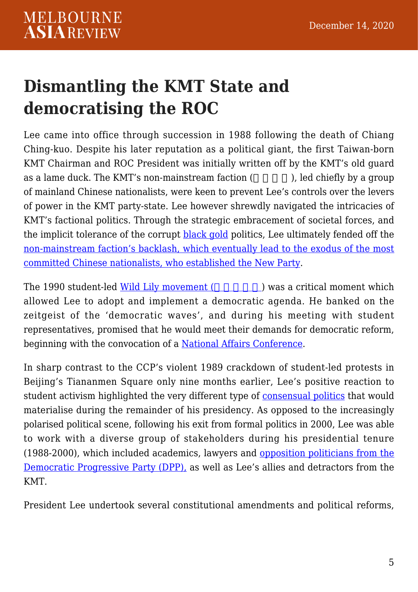## **Dismantling the KMT State and democratising the ROC**

Lee came into office through succession in 1988 following the death of Chiang Ching-kuo. Despite his later reputation as a political giant, the first Taiwan-born KMT Chairman and ROC President was initially written off by the KMT's old guard as a lame duck. The KMT's non-mainstream faction  $($ ,  $)$ , led chiefly by a group of mainland Chinese nationalists, were keen to prevent Lee's controls over the levers of power in the KMT party-state. Lee however shrewdly navigated the intricacies of KMT's factional politics. Through the strategic embracement of societal forces, and the implicit tolerance of the corrupt [black gold](https://journals.openedition.org/chinaperspectives/434) politics. Lee ultimately fended off the [non-mainstream faction's backlash, which eventually lead to the exodus of the most](https://www.jstor.org/stable/2645494) [committed Chinese nationalists, who established the New Party.](https://www.jstor.org/stable/2645494)

The 1990 student-led [Wild Lily movement \(](https://www.tandfonline.com/doi/full/10.1080/14649370500316927)Separation 2) was a critical moment which allowed Lee to adopt and implement a democratic agenda. He banked on the zeitgeist of the 'democratic waves', and during his meeting with student representatives, promised that he would meet their demands for democratic reform, beginning with the convocation of a [National Affairs Conference](https://news.cts.com.tw/cts/politics/199006/199006281765223.html).

In sharp contrast to the CCP's violent 1989 crackdown of student-led protests in Beijing's Tiananmen Square only nine months earlier. Lee's positive reaction to student activism highlighted the very different type of [consensual politics](http://www.taipeitimes.com/News/editorials/archives/2010/06/28/2003476597) that would materialise during the remainder of his presidency. As opposed to the increasingly polarised political scene, following his exit from formal politics in 2000, Lee was able to work with a diverse group of stakeholders during his presidential tenure (1988-2000), which included academics, lawyers and [opposition politicians from the](https://www.storm.mg/article/2793895?mode=whole) [Democratic Progressive Party \(DPP\),](https://www.storm.mg/article/2793895?mode=whole) as well as Lee's allies and detractors from the KMT.

President Lee undertook several constitutional amendments and political reforms,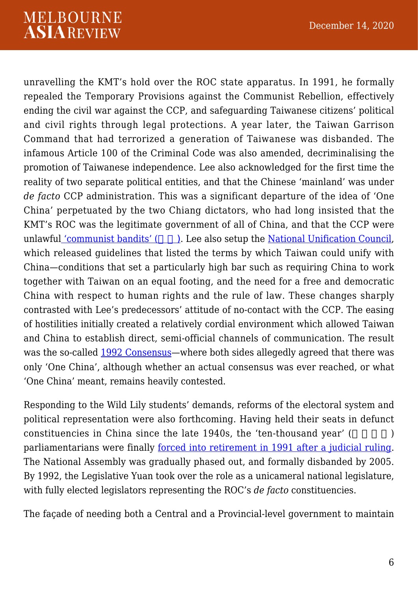unravelling the KMT's hold over the ROC state apparatus. In 1991, he formally repealed the Temporary Provisions against the Communist Rebellion, effectively ending the civil war against the CCP, and safeguarding Taiwanese citizens' political and civil rights through legal protections. A year later, the Taiwan Garrison Command that had terrorized a generation of Taiwanese was disbanded. The infamous Article 100 of the Criminal Code was also amended, decriminalising the promotion of Taiwanese independence. Lee also acknowledged for the first time the reality of two separate political entities, and that the Chinese 'mainland' was under *de facto* CCP administration. This was a significant departure of the idea of 'One China' perpetuated by the two Chiang dictators, who had long insisted that the KMT's ROC was the legitimate government of all of China, and that the CCP were unlawfu[l 'communist bandits' \(](https://books.google.com.au/books?id=vouLBQAAQBAJ&pg=PA15&redir_esc=y#v=onepage&q&f=false)ndiacleries also setup the [National Unification Council,](https://www.mac.gov.tw/en/News_Content.aspx?n=BEC36A4A0BB0663C&sms=BF821F021B282251&s=D0017062A39AF1C0) which released guidelines that listed the terms by which Taiwan could unify with China—conditions that set a particularly high bar such as requiring China to work together with Taiwan on an equal footing, and the need for a free and democratic China with respect to human rights and the rule of law. These changes sharply contrasted with Lee's predecessors' attitude of no-contact with the CCP. The easing of hostilities initially created a relatively cordial environment which allowed Taiwan and China to establish direct, semi-official channels of communication. The result was the so-called [1992 Consensus](https://www.rand.org/blog/2020/06/is-the-1992-consensus-fading-away-in-the-taiwan-strait.html)—where both sides allegedly agreed that there was only 'One China', although whether an actual consensus was ever reached, or what 'One China' meant, remains heavily contested.

Responding to the Wild Lily students' demands, reforms of the electoral system and political representation were also forthcoming. Having held their seats in defunct constituencies in China since the late  $1940s$ , the 'ten-thousand year' ( $\qquad \qquad$ ) parliamentarians were finally [forced into retirement in 1991 after a judicial ruling.](https://www.jstor.org/stable/44288754) The National Assembly was gradually phased out, and formally disbanded by 2005. By 1992, the Legislative Yuan took over the role as a unicameral national legislature, with fully elected legislators representing the ROC's *de facto* constituencies.

The façade of needing both a Central and a Provincial-level government to maintain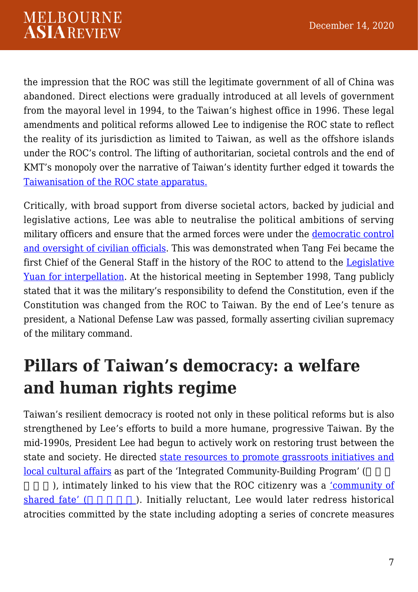the impression that the ROC was still the legitimate government of all of China was abandoned. Direct elections were gradually introduced at all levels of government from the mayoral level in 1994, to the Taiwan's highest office in 1996. These legal amendments and political reforms allowed Lee to indigenise the ROC state to reflect the reality of its jurisdiction as limited to Taiwan, as well as the offshore islands under the ROC's control. The lifting of authoritarian, societal controls and the end of KMT's monopoly over the narrative of Taiwan's identity further edged it towards the [Taiwanisation of the ROC state apparatus.](https://www.cambridge.org/core/journals/japanese-journal-of-political-science/article/whither-taiwanization-the-colonization-democratization-and-taiwanization-of-taiwan/285F3ACB155E62EFAB571E85EFE7B106)

Critically, with broad support from diverse societal actors, backed by judicial and legislative actions, Lee was able to neutralise the political ambitions of serving military officers and ensure that the armed forces were under the [democratic control](https://journals.sagepub.com/doi/abs/10.1177/0095327X0202900104) [and oversight of civilian officials](https://journals.sagepub.com/doi/abs/10.1177/0095327X0202900104). This was demonstrated when Tang Fei became the first Chief of the General Staff in the history of the ROC to attend to the [Legislative](https://news.cts.com.tw/cts/politics/199809/199809300020126.html) [Yuan for interpellation](https://news.cts.com.tw/cts/politics/199809/199809300020126.html). At the historical meeting in September 1998, Tang publicly stated that it was the military's responsibility to defend the Constitution, even if the Constitution was changed from the ROC to Taiwan. By the end of Lee's tenure as president, a National Defense Law was passed, formally asserting civilian supremacy of the military command.

## **Pillars of Taiwan's democracy: a welfare and human rights regime**

Taiwan's resilient democracy is rooted not only in these political reforms but is also strengthened by Lee's efforts to build a more humane, progressive Taiwan. By the mid-1990s, President Lee had begun to actively work on restoring trust between the state and society. He directed [state resources to promote grassroots initiatives and](https://www.cambridge.org/core/journals/china-quarterly/article/cultural-governance-and-placemaking-in-taiwan-and-china/E7FC4795F54EFA546613A71AE6A79591) [local cultural affairs](https://www.cambridge.org/core/journals/china-quarterly/article/cultural-governance-and-placemaking-in-taiwan-and-china/E7FC4795F54EFA546613A71AE6A79591) as part of the 'Integrated Community-Building Program' (

), intimately linked to his view that the ROC citizenry was a ['community of](https://www.youtube.com/watch?v=w6gSwtJOYfo) [shared fate' \(](https://www.youtube.com/watch?v=w6gSwtJOYfo)a). Initially reluctant, Lee would later redress historical atrocities committed by the state including adopting a series of concrete measures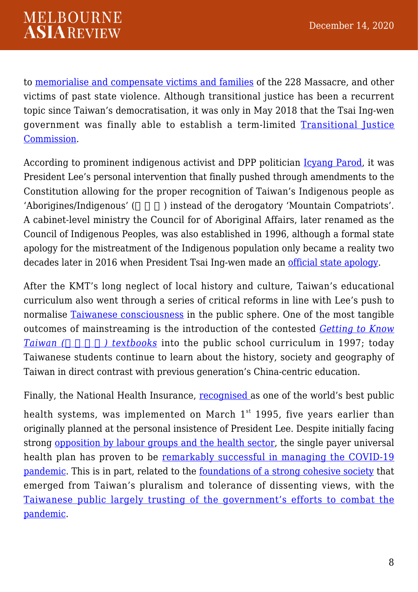to [memorialise and compensate victims and families](https://www.taipeitimes.com/News/feat/archives/2019/02/24/2003710307) of the 228 Massacre, and other victims of past state violence. Although transitional justice has been a recurrent topic since Taiwan's democratisation, it was only in May 2018 that the Tsai Ing-wen government was finally able to establish a term-limited [Transitional Justice](https://www.tjc.gov.tw/) [Commission.](https://www.tjc.gov.tw/)

According to prominent indigenous activist and DPP politician [Icyang Parod,](https://udn.com/news/story/121549/4745201) it was President Lee's personal intervention that finally pushed through amendments to the Constitution allowing for the proper recognition of Taiwan's Indigenous people as 'Aborigines/Indigenous' (exceed of the derogatory 'Mountain Compatriots'. A cabinet-level ministry the Council for of Aboriginal Affairs, later renamed as the Council of Indigenous Peoples, was also established in 1996, although a formal state apology for the mistreatment of the Indigenous population only became a reality two decades later in 2016 when President Tsai Ing-wen made an [official state apology.](https://english.president.gov.tw/NEWS/4950)

After the KMT's long neglect of local history and culture, Taiwan's educational curriculum also went through a series of critical reforms in line with Lee's push to normalise [Taiwanese consciousness](https://www.jstor.org/stable/23607240) in the public sphere. One of the most tangible outcomes of mainstreaming is the introduction of the contested *[Getting to Know](https://www.tandfonline.com/doi/abs/10.1080/14681360200200129) [Taiwan \(](https://www.tandfonline.com/doi/abs/10.1080/14681360200200129) [\) textbooks](https://www.tandfonline.com/doi/abs/10.1080/14681360200200129)* into the public school curriculum in 1997; today Taiwanese students continue to learn about the history, society and geography of Taiwan in direct contrast with previous generation's China-centric education.

Finally, the National Health Insurance, [recognised a](https://www.vox.com/health-care/2020/1/13/21028702/medicare-for-all-taiwan-health-insurance)s one of the world's best public

health systems, was implemented on March  $1^{st}$  1995, five years earlier than originally planned at the personal insistence of President Lee. Despite initially facing strong [opposition by labour groups and the health sector](http://www.taipeitimes.com/News/feat/archives/2019/07/14/2003718621), the single payer universal health plan has proven to be [remarkably successful in managing the COVID-19](https://www.thelancet.com/pdfs/journals/eclinm/PIIS2589-5370(20)30181-4.pdf) [pandemic](https://www.thelancet.com/pdfs/journals/eclinm/PIIS2589-5370(20)30181-4.pdf). This is in part, related to the [foundations of a strong cohesive society](https://academicworks.cuny.edu/cgi/viewcontent.cgi?article=1232&context=jj_pubs) that emerged from Taiwan's pluralism and tolerance of dissenting views, with the [Taiwanese public largely trusting of the government's efforts to combat the](https://www.wired.com/story/wired25-day3-audrey-tang-taiwan/) [pandemic.](https://www.wired.com/story/wired25-day3-audrey-tang-taiwan/)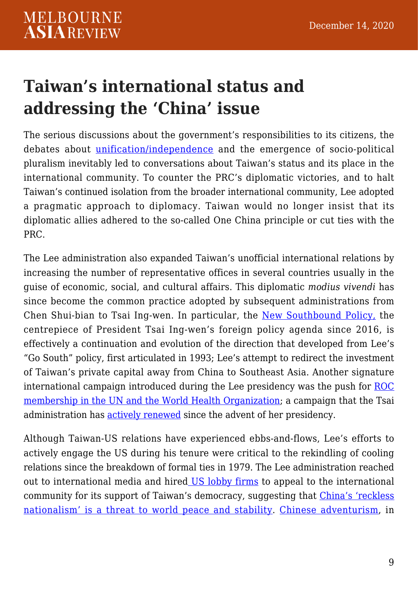#### **Taiwan's international status and addressing the 'China' issue**

The serious discussions about the government's responsibilities to its citizens, the debates about [unification/independence](https://journals.sagepub.com/doi/10.1177/0021909605052938) and the emergence of socio-political pluralism inevitably led to conversations about Taiwan's status and its place in the international community. To counter the PRC's diplomatic victories, and to halt Taiwan's continued isolation from the broader international community, Lee adopted a pragmatic approach to diplomacy. Taiwan would no longer insist that its diplomatic allies adhered to the so-called One China principle or cut ties with the PRC.

The Lee administration also expanded Taiwan's unofficial international relations by increasing the number of representative offices in several countries usually in the guise of economic, social, and cultural affairs. This diplomatic *modius vivendi* has since become the common practice adopted by subsequent administrations from Chen Shui-bian to Tsai Ing-wen. In particular, the [New Southbound Policy,](https://nspp.mofa.gov.tw/nsppe/) the centrepiece of President Tsai Ing-wen's foreign policy agenda since 2016, is effectively a continuation and evolution of the direction that developed from Lee's "Go South" policy, first articulated in 1993; Lee's attempt to redirect the investment of Taiwan's private capital away from China to Southeast Asia. Another signature international campaign introduced during the Lee presidency was the push for [ROC](https://www.brookings.edu/opinions/taiwans-un-dilemma-to-be-or-not-to-be/) [membership in the UN and the World Health Organization;](https://www.brookings.edu/opinions/taiwans-un-dilemma-to-be-or-not-to-be/) a campaign that the Tsai administration has [actively renewed](https://www.scmp.com/news/china/diplomacy/article/3018363/taiwan-wont-give-beijing-it-seeks-un-membership-islands) since the advent of her presidency.

Although Taiwan-US relations have experienced ebbs-and-flows, Lee's efforts to actively engage the US during his tenure were critical to the rekindling of cooling relations since the breakdown of formal ties in 1979. The Lee administration reached out to international media and hired [US lobby firms](https://www.jstor.org/stable/42704248) to appeal to the international community for its support of Taiwan's democracy, suggesting that [China's 'reckless](https://www.foreignaffairs.com/articles/asia/1999-11-01/understanding-taiwan-bridging-perception-gap) [nationalism' is a threat to world peace and stability](https://www.foreignaffairs.com/articles/asia/1999-11-01/understanding-taiwan-bridging-perception-gap). [Chinese adventurism](https://nationalinterest.org/feature/the-third-taiwan-strait-crisis-the-forgotten-showdown-19742), in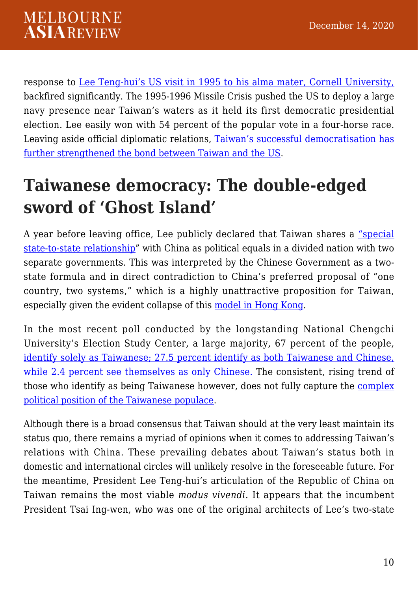response to [Lee Teng-hui's US visit in 1995 to his alma mater, Cornell University,](https://www.upi.com/Archives/1995/06/09/Taiwans-Lee-speaks-at-Cornell/4706802670400/) backfired significantly. The 1995-1996 Missile Crisis pushed the US to deploy a large navy presence near Taiwan's waters as it held its first democratic presidential election. Lee easily won with 54 percent of the popular vote in a four-horse race. Leaving aside official diplomatic relations, [Taiwan's successful democratisation has](https://www.jstor.org/stable/44439663) [further strengthened the bond between Taiwan and the US.](https://www.jstor.org/stable/44439663)

#### **Taiwanese democracy: The double-edged sword of 'Ghost Island'**

A year before leaving office, Lee publicly declared that Taiwan shares a ["special](https://www.scmp.com/article/287810/presidents-remarks-tread-fine-line) [state-to-state relationship"](https://www.scmp.com/article/287810/presidents-remarks-tread-fine-line) with China as political equals in a divided nation with two separate governments. This was interpreted by the Chinese Government as a twostate formula and in direct contradiction to China's preferred proposal of "one country, two systems," which is a highly unattractive proposition for Taiwan, especially given the evident collapse of this [model in Hong Kong](https://www.foreignaffairs.com/reviews/review-essay/2020-08-11/one-country-two-systems-no-future).

In the most recent poll conducted by the longstanding National Chengchi University's Election Study Center, a large majority, 67 percent of the people, [identify solely as Taiwanese; 27.5 percent identify as both Taiwanese and Chinese,](https://www.taipeitimes.com/News/front/archives/2020/07/05/2003739375) [while 2.4 percent see themselves as only Chinese.](https://www.taipeitimes.com/News/front/archives/2020/07/05/2003739375) The consistent, rising trend of those who identify as being Taiwanese however, does not fully capture the [complex](https://thediplomat.com/2020/05/what-do-taiwans-people-think-about-their-relationship-to-china/) [political position of the Taiwanese populace.](https://thediplomat.com/2020/05/what-do-taiwans-people-think-about-their-relationship-to-china/)

Although there is a broad consensus that Taiwan should at the very least maintain its status quo, there remains a myriad of opinions when it comes to addressing Taiwan's relations with China. These prevailing debates about Taiwan's status both in domestic and international circles will unlikely resolve in the foreseeable future. For the meantime, President Lee Teng-hui's articulation of the Republic of China on Taiwan remains the most viable *modus vivendi*. It appears that the incumbent President Tsai Ing-wen, who was one of the original architects of Lee's two-state